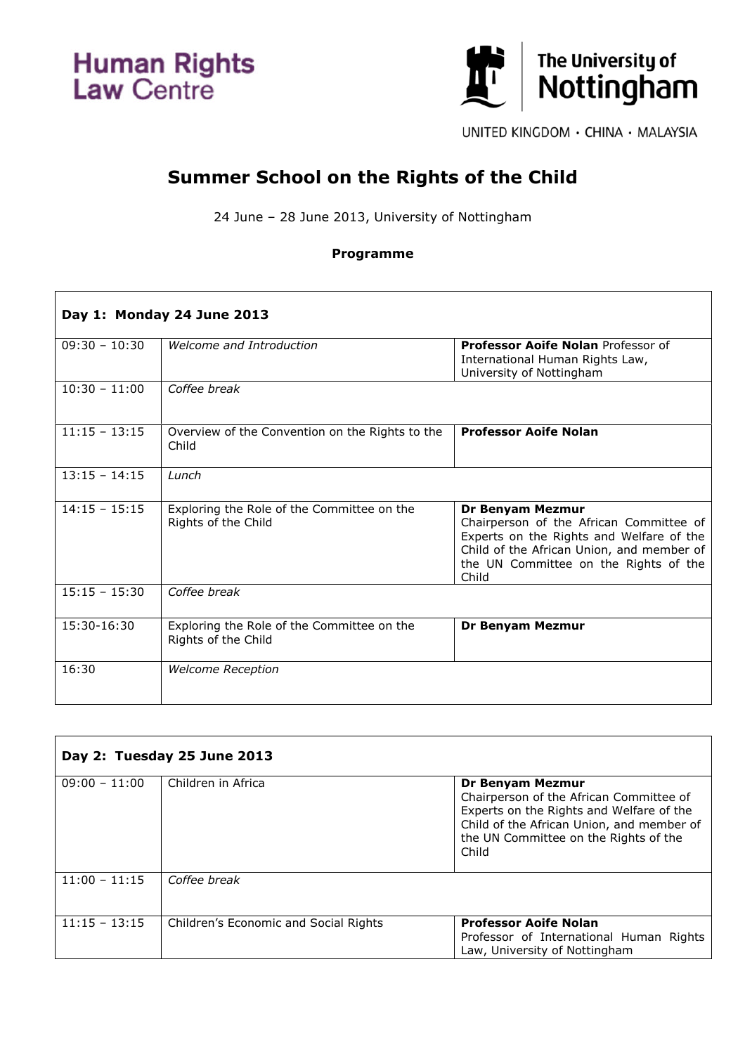**Human Rights**<br>Law Centre



UNITED KINGDOM · CHINA · MALAYSIA

## **Summer School on the Rights of the Child**

24 June – 28 June 2013, University of Nottingham

## **Programme**

| Day 1: Monday 24 June 2013 |                                                                   |                                                                                                                                                                                                        |
|----------------------------|-------------------------------------------------------------------|--------------------------------------------------------------------------------------------------------------------------------------------------------------------------------------------------------|
| $09:30 - 10:30$            | Welcome and Introduction                                          | <b>Professor Aoife Nolan Professor of</b><br>International Human Rights Law,<br>University of Nottingham                                                                                               |
| $10:30 - 11:00$            | Coffee break                                                      |                                                                                                                                                                                                        |
| $11:15 - 13:15$            | Overview of the Convention on the Rights to the<br>Child          | <b>Professor Aoife Nolan</b>                                                                                                                                                                           |
| $13:15 - 14:15$            | Lunch                                                             |                                                                                                                                                                                                        |
| $14:15 - 15:15$            | Exploring the Role of the Committee on the<br>Rights of the Child | Dr Benyam Mezmur<br>Chairperson of the African Committee of<br>Experts on the Rights and Welfare of the<br>Child of the African Union, and member of<br>the UN Committee on the Rights of the<br>Child |
| $15:15 - 15:30$            | Coffee break                                                      |                                                                                                                                                                                                        |
| 15:30-16:30                | Exploring the Role of the Committee on the<br>Rights of the Child | <b>Dr Benyam Mezmur</b>                                                                                                                                                                                |
| 16:30                      | <b>Welcome Reception</b>                                          |                                                                                                                                                                                                        |

| Day 2: Tuesday 25 June 2013 |                                       |                                                                                                                                                                                                        |
|-----------------------------|---------------------------------------|--------------------------------------------------------------------------------------------------------------------------------------------------------------------------------------------------------|
| $09:00 - 11:00$             | Children in Africa                    | Dr Benyam Mezmur<br>Chairperson of the African Committee of<br>Experts on the Rights and Welfare of the<br>Child of the African Union, and member of<br>the UN Committee on the Rights of the<br>Child |
| $11:00 - 11:15$             | Coffee break                          |                                                                                                                                                                                                        |
| $11:15 - 13:15$             | Children's Economic and Social Rights | <b>Professor Aoife Nolan</b><br>Professor of International Human Rights<br>Law, University of Nottingham                                                                                               |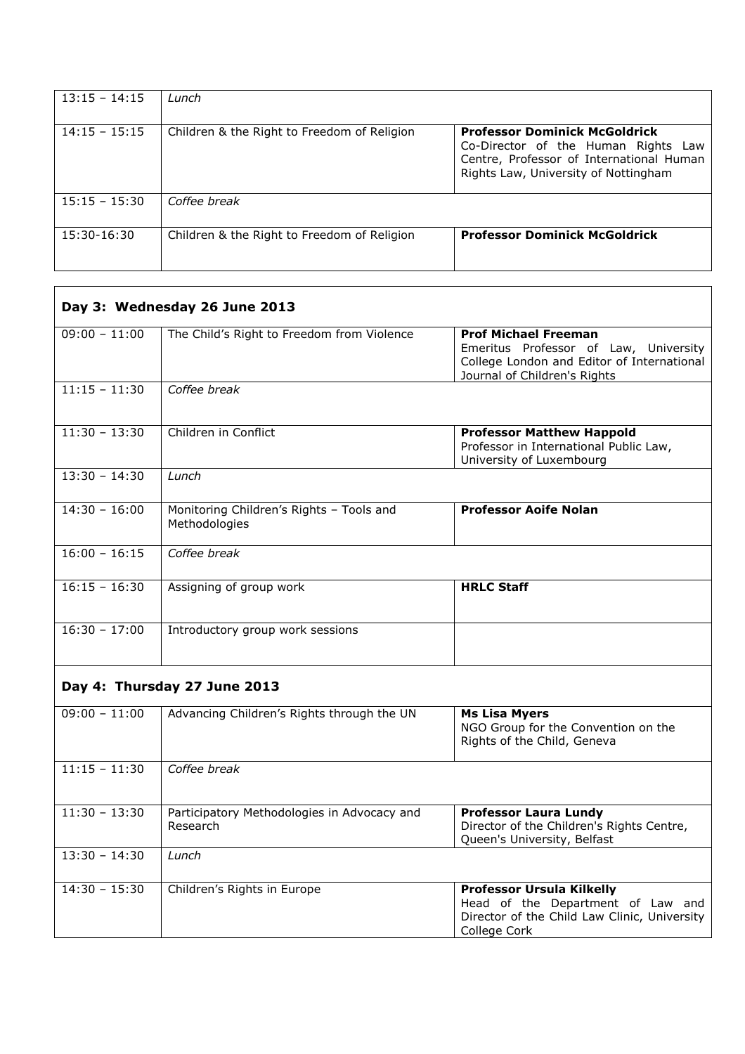| $13:15 - 14:15$ | Lunch                                       |                                                                                                                                                                 |
|-----------------|---------------------------------------------|-----------------------------------------------------------------------------------------------------------------------------------------------------------------|
| $14:15 - 15:15$ | Children & the Right to Freedom of Religion | <b>Professor Dominick McGoldrick</b><br>Co-Director of the Human Rights Law<br>Centre, Professor of International Human<br>Rights Law, University of Nottingham |
| $15:15 - 15:30$ | Coffee break                                |                                                                                                                                                                 |
| 15:30-16:30     | Children & the Right to Freedom of Religion | <b>Professor Dominick McGoldrick</b>                                                                                                                            |

| Day 3: Wednesday 26 June 2013 |                                                           |                                                                                                                                                    |
|-------------------------------|-----------------------------------------------------------|----------------------------------------------------------------------------------------------------------------------------------------------------|
| $09:00 - 11:00$               | The Child's Right to Freedom from Violence                | <b>Prof Michael Freeman</b><br>Emeritus Professor of Law, University<br>College London and Editor of International<br>Journal of Children's Rights |
| $11:15 - 11:30$               | Coffee break                                              |                                                                                                                                                    |
| $11:30 - 13:30$               | Children in Conflict                                      | <b>Professor Matthew Happold</b><br>Professor in International Public Law,<br>University of Luxembourg                                             |
| $13:30 - 14:30$               | Lunch                                                     |                                                                                                                                                    |
| $14:30 - 16:00$               | Monitoring Children's Rights - Tools and<br>Methodologies | <b>Professor Aoife Nolan</b>                                                                                                                       |
| $16:00 - 16:15$               | Coffee break                                              |                                                                                                                                                    |
| $16:15 - 16:30$               | Assigning of group work                                   | <b>HRLC Staff</b>                                                                                                                                  |
| $16:30 - 17:00$               | Introductory group work sessions                          |                                                                                                                                                    |
|                               | Day 4: Thursday 27 June 2013                              |                                                                                                                                                    |
| $09:00 - 11:00$               | Advancing Children's Rights through the UN                | <b>Ms Lisa Myers</b><br>NGO Group for the Convention on the<br>Rights of the Child, Geneva                                                         |
| $11:15 - 11:30$               | Coffee break                                              |                                                                                                                                                    |
| $11:30 - 13:30$               | Participatory Methodologies in Advocacy and<br>Research   | <b>Professor Laura Lundy</b><br>Director of the Children's Rights Centre,<br>Queen's University, Belfast                                           |
| $13:30 - 14:30$               | Lunch                                                     |                                                                                                                                                    |
| $14:30 - 15:30$               | Children's Rights in Europe                               | <b>Professor Ursula Kilkelly</b><br>Head of the Department of Law and<br>Director of the Child Law Clinic, University<br>College Cork              |